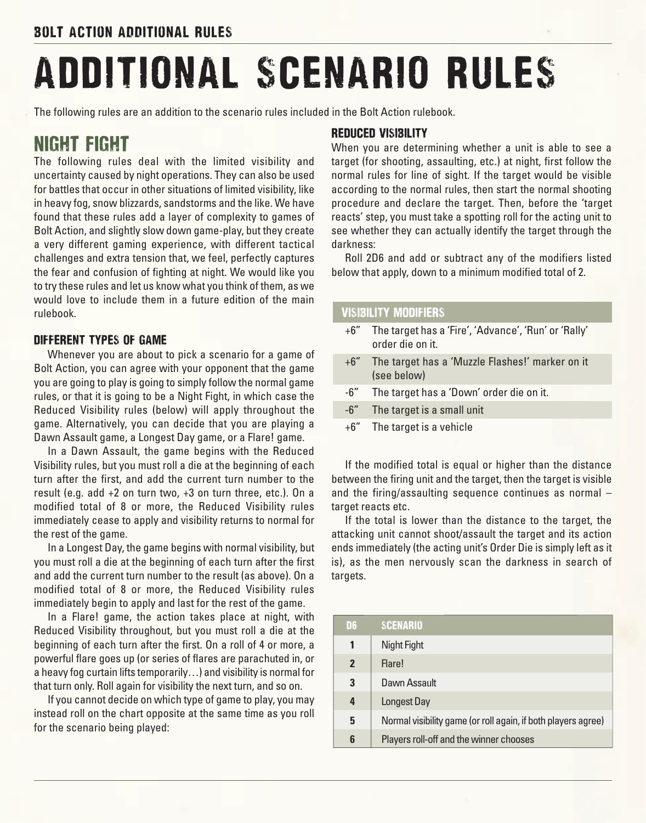# ADDITIONAL SCENARIO RULES

The following rules are an addition to the scenario rules included in the Bolt Action rulebook.

## night fight

The following rules deal with the limited visibility and uncertainty caused by night operations. They can also be used for battles that occur in other situations of limited visibility, like in heavy fog, snow blizzards, sandstorms and the like. We have found that these rules add a layer of complexity to games of Bolt Action, and slightly slow down game-play, but they create a very different gaming experience, with different tactical challenges and extra tension that, we feel, perfectly captures the fear and confusion of fighting at night. We would like you to try these rules and let us know what you think of them, as we would love to include them in a future edition of the main rulebook.

#### Different types of game

Whenever you are about to pick a scenario for a game of Bolt Action, you can agree with your opponent that the game you are going to play is going to simply follow the normal game rules, or that it is going to be a Night Fight, in which case the Reduced Visibility rules (below) will apply throughout the game. Alternatively, you can decide that you are playing a Dawn Assault game, a Longest Day game, or a Flare! game.

In a Dawn Assault, the game begins with the Reduced Visibility rules, but you must roll a die at the beginning of each turn after the first, and add the current turn number to the result (e.g. add +2 on turn two, +3 on turn three, etc.). On a modified total of 8 or more, the Reduced Visibility rules immediately cease to apply and visibility returns to normal for the rest of the game.

In a Longest Day, the game begins with normal visibility, but you must roll a die at the beginning of each turn after the first and add the current turn number to the result (as above). On a modified total of 8 or more, the Reduced Visibility rules immediately begin to apply and last for the rest of the game.

In a Flare! game, the action takes place at night, with Reduced Visibility throughout, but you must roll a die at the beginning of each turn after the first. On a roll of 4 or more, a powerful flare goes up (or series of flares are parachuted in, or a heavy fog curtain lifts temporarily…) and visibility is normal for that turn only. Roll again for visibility the next turn, and so on.

If you cannot decide on which type of game to play, you may instead roll on the chart opposite at the same time as you roll for the scenario being played:

#### Reduced Visibility

When you are determining whether a unit is able to see a target (for shooting, assaulting, etc.) at night, first follow the normal rules for line of sight. If the target would be visible according to the normal rules, then start the normal shooting procedure and declare the target. Then, before the 'target reacts' step, you must take a spotting roll for the acting unit to see whether they can actually identify the target through the darkness:

Roll 2D6 and add or subtract any of the modifiers listed below that apply, down to a minimum modified total of 2.

#### VISIBILITY MODIFIERS

|     | +6" The target has a 'Fire', 'Advance', 'Run' or 'Rally'<br>order die on it. |
|-----|------------------------------------------------------------------------------|
|     | +6" The target has a 'Muzzle Flashes!' marker on it<br>(see below)           |
|     | -6" The target has a 'Down' order die on it.                                 |
| -6″ | The target is a small unit                                                   |
|     | $+6$ " The target is a vehicle                                               |

If the modified total is equal or higher than the distance between the firing unit and the target, then the target is visible and the firing/assaulting sequence continues as normal – target reacts etc.

If the total is lower than the distance to the target, the attacking unit cannot shoot/assault the target and its action ends immediately (the acting unit's Order Die is simply left as it is), as the men nervously scan the darkness in search of targets.

| D6             | <b>SCENARIO</b>                                               |
|----------------|---------------------------------------------------------------|
| 1              | Night Fight                                                   |
| $\overline{2}$ | Flare!                                                        |
| 3              | Dawn Assault                                                  |
| 4              | Longest Day                                                   |
| 5              | Normal visibility game (or roll again, if both players agree) |
| 6              | Players roll-off and the winner chooses                       |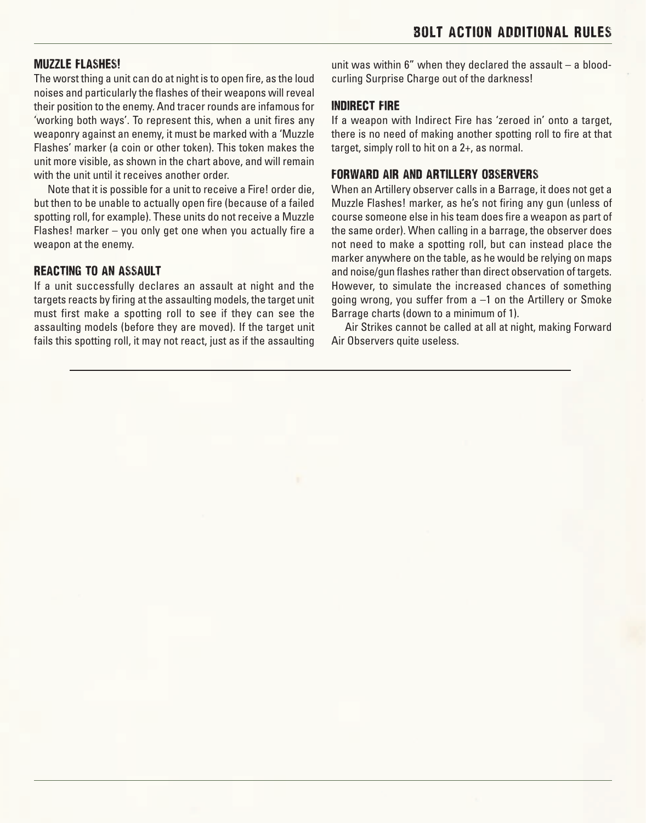#### Muzzle Flashes!

The worst thing a unit can do at night is to open fire, as the loud noises and particularly the flashes of their weapons will reveal their position to the enemy. And tracer rounds are infamous for 'working both ways'. To represent this, when a unit fires any weaponry against an enemy, it must be marked with a 'Muzzle Flashes' marker (a coin or other token). This token makes the unit more visible, as shown in the chart above, and will remain with the unit until it receives another order.

Note that it is possible for a unit to receive a Fire! order die, but then to be unable to actually open fire (because of a failed spotting roll, for example). These units do not receive a Muzzle Flashes! marker – you only get one when you actually fire a weapon at the enemy.

#### Reacting to an assault

If a unit successfully declares an assault at night and the targets reacts by firing at the assaulting models, the target unit must first make a spotting roll to see if they can see the assaulting models (before they are moved). If the target unit fails this spotting roll, it may not react, just as if the assaulting unit was within 6" when they declared the assault – a bloodcurling Surprise Charge out of the darkness!

#### Indirect Fire

If a weapon with Indirect Fire has 'zeroed in' onto a target, there is no need of making another spotting roll to fire at that target, simply roll to hit on a 2+, as normal.

#### Forward Air and Artillery Observers

When an Artillery observer calls in a Barrage, it does not get a Muzzle Flashes! marker, as he's not firing any gun (unless of course someone else in his team does fire a weapon as part of the same order). When calling in a barrage, the observer does not need to make a spotting roll, but can instead place the marker anywhere on the table, as he would be relying on maps and noise/gun flashes rather than direct observation of targets. However, to simulate the increased chances of something going wrong, you suffer from a –1 on the Artillery or Smoke Barrage charts (down to a minimum of 1).

Air Strikes cannot be called at all at night, making Forward Air Observers quite useless.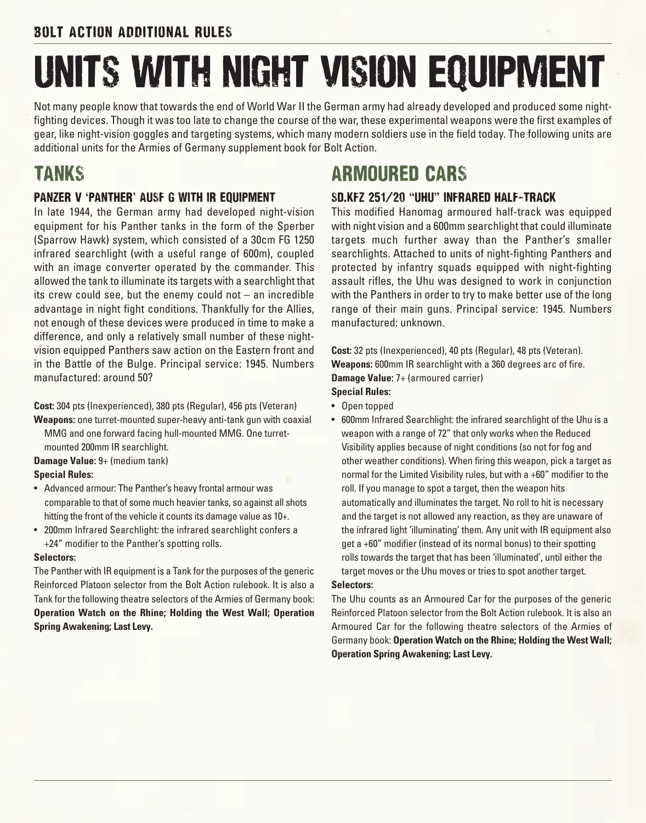# Units with night vision equipment

Not many people know that towards the end of World War II the German army had already developed and produced some nightfighting devices. Though it was too late to change the course of the war, these experimental weapons were the first examples of gear, like night-vision goggles and targeting systems, which many modern soldiers use in the field today. The following units are additional units for the Armies of Germany supplement book for Bolt Action.

## **TANKS**

## PANZER V 'PANTHER' AUSF G WITH IR EQUIPMENT

In late 1944, the German army had developed night-vision equipment for his Panther tanks in the form of the Sperber (Sparrow Hawk) system, which consisted of a 30cm FG 1250 infrared searchlight (with a useful range of 600m), coupled with an image converter operated by the commander. This allowed the tank to illuminate its targets with a searchlight that its crew could see, but the enemy could not – an incredible advantage in night fight conditions. Thankfully for the Allies, not enough of these devices were produced in time to make a difference, and only a relatively small number of these nightvision equipped Panthers saw action on the Eastern front and in the Battle of the Bulge. Principal service: 1945. Numbers manufactured: around 50?

**Cost:** 304 pts (Inexperienced), 380 pts (Regular), 456 pts (Veteran) **Weapons:** one turret-mounted super-heavy anti-tank gun with coaxial

MMG and one forward facing hull-mounted MMG. One turretmounted 200mm IR searchlight.

**Damage Value:** 9+ (medium tank)

#### **Special Rules:**

- • Advanced armour: The Panther's heavy frontal armour was comparable to that of some much heavier tanks, so against all shots hitting the front of the vehicle it counts its damage value as  $10+$ .
- 200mm Infrared Searchlight: the infrared searchlight confers a +24" modifier to the Panther's spotting rolls.

#### **Selectors:**

The Panther with IR equipment is a Tank for the purposes of the generic Reinforced Platoon selector from the Bolt Action rulebook. It is also a Tank for the following theatre selectors of the Armies of Germany book: **Operation Watch on the Rhine; Holding the West Wall; Operation Spring Awakening; Last Levy.**

# ARMOURED CARS

## SD.KFZ 251/20 "uhu" infrared half-track

This modified Hanomag armoured half-track was equipped with night vision and a 600mm searchlight that could illuminate targets much further away than the Panther's smaller searchlights. Attached to units of night-fighting Panthers and protected by infantry squads equipped with night-fighting assault rifles, the Uhu was designed to work in conjunction with the Panthers in order to try to make better use of the long range of their main guns. Principal service: 1945. Numbers manufactured: unknown.

**Cost:** 32 pts (Inexperienced), 40 pts (Regular), 48 pts (Veteran). **Weapons:** 600mm IR searchlight with a 360 degrees arc of fire. **Damage Value:** 7+ (armoured carrier)

#### **Special Rules:**

- • Open topped
- 600mm Infrared Searchlight: the infrared searchlight of the Uhu is a weapon with a range of 72" that only works when the Reduced Visibility applies because of night conditions (so not for fog and other weather conditions). When firing this weapon, pick a target as normal for the Limited Visibility rules, but with a +60" modifier to the roll. If you manage to spot a target, then the weapon hits automatically and illuminates the target. No roll to hit is necessary and the target is not allowed any reaction, as they are unaware of the infrared light 'illuminating' them. Any unit with IR equipment also get a +60" modifier (instead of its normal bonus) to their spotting rolls towards the target that has been 'illuminated', until either the target moves or the Uhu moves or tries to spot another target.

#### **Selectors:**

The Uhu counts as an Armoured Car for the purposes of the generic Reinforced Platoon selector from the Bolt Action rulebook. It is also an Armoured Car for the following theatre selectors of the Armies of Germany book: **Operation Watch on the Rhine; Holding the West Wall; Operation Spring Awakening; Last Levy.**